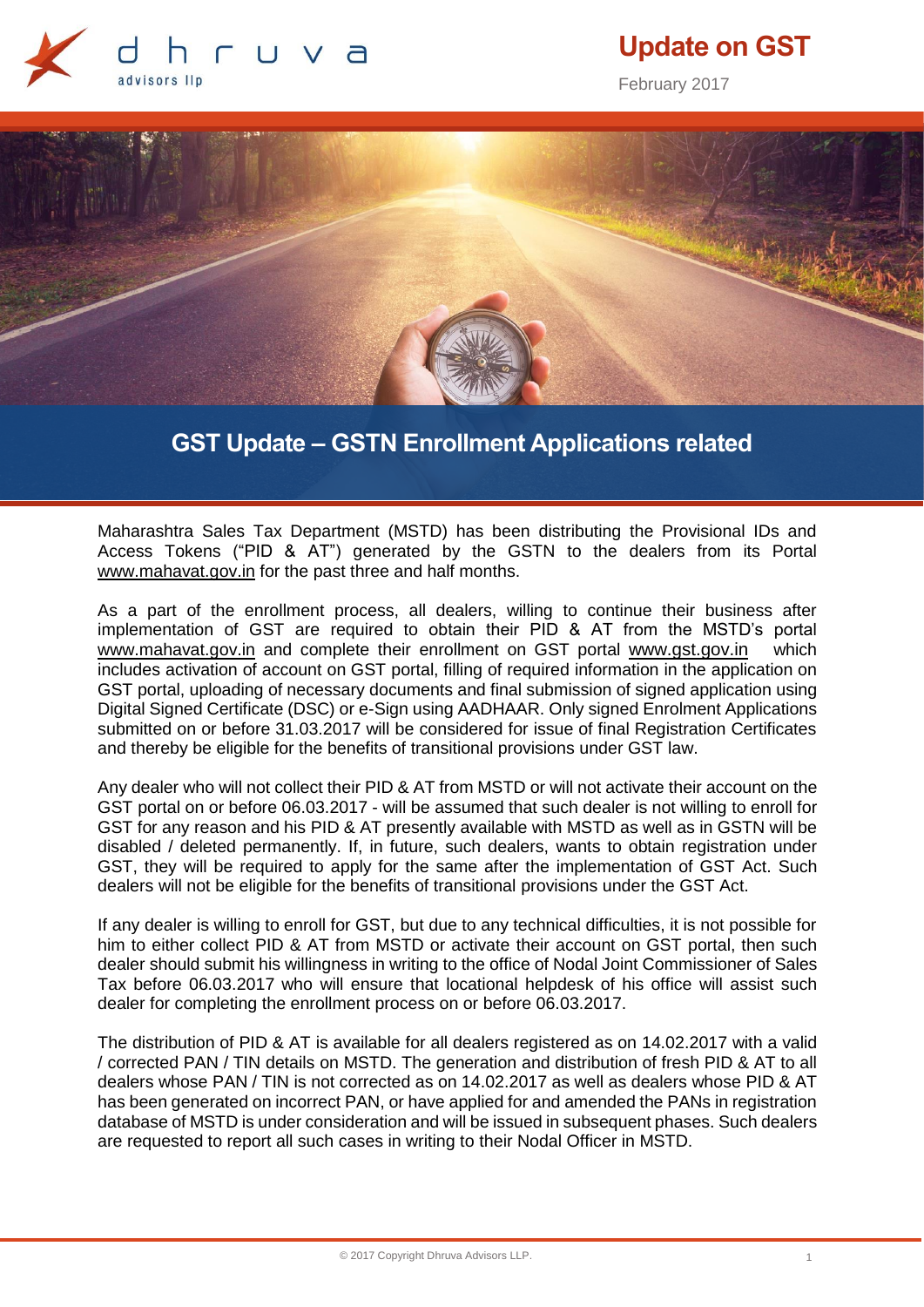

# **Update on GST**

February 2017



## **GST Update – GSTN Enrollment Applications related**

Maharashtra Sales Tax Department (MSTD) has been distributing the Provisional IDs and Access Tokens ("PID & AT") generated by the GSTN to the dealers from its Portal [www.mahavat.gov.in](http://www.mahavat.gov.in/) for the past three and half months.

As a part of the enrollment process, all dealers, willing to continue their business after implementation of GST are required to obtain their PID & AT from the MSTD's portal [www.mahavat.gov.in](http://www.mahavat.gov.in/) and complete their enrollment on GST portal [www.gst.gov.in](http://www.gst.gov.in/) which includes activation of account on GST portal, filling of required information in the application on GST portal, uploading of necessary documents and final submission of signed application using Digital Signed Certificate (DSC) or e-Sign using AADHAAR. Only signed Enrolment Applications submitted on or before 31.03.2017 will be considered for issue of final Registration Certificates and thereby be eligible for the benefits of transitional provisions under GST law.

Any dealer who will not collect their PID & AT from MSTD or will not activate their account on the GST portal on or before 06.03.2017 - will be assumed that such dealer is not willing to enroll for GST for any reason and his PID & AT presently available with MSTD as well as in GSTN will be disabled / deleted permanently. If, in future, such dealers, wants to obtain registration under GST, they will be required to apply for the same after the implementation of GST Act. Such dealers will not be eligible for the benefits of transitional provisions under the GST Act.

If any dealer is willing to enroll for GST, but due to any technical difficulties, it is not possible for him to either collect PID & AT from MSTD or activate their account on GST portal, then such dealer should submit his willingness in writing to the office of Nodal Joint Commissioner of Sales Tax before 06.03.2017 who will ensure that locational helpdesk of his office will assist such dealer for completing the enrollment process on or before 06.03.2017.

The distribution of PID & AT is available for all dealers registered as on 14.02.2017 with a valid / corrected PAN / TIN details on MSTD. The generation and distribution of fresh PID & AT to all dealers whose PAN / TIN is not corrected as on 14.02.2017 as well as dealers whose PID & AT has been generated on incorrect PAN, or have applied for and amended the PANs in registration database of MSTD is under consideration and will be issued in subsequent phases. Such dealers are requested to report all such cases in writing to their Nodal Officer in MSTD.